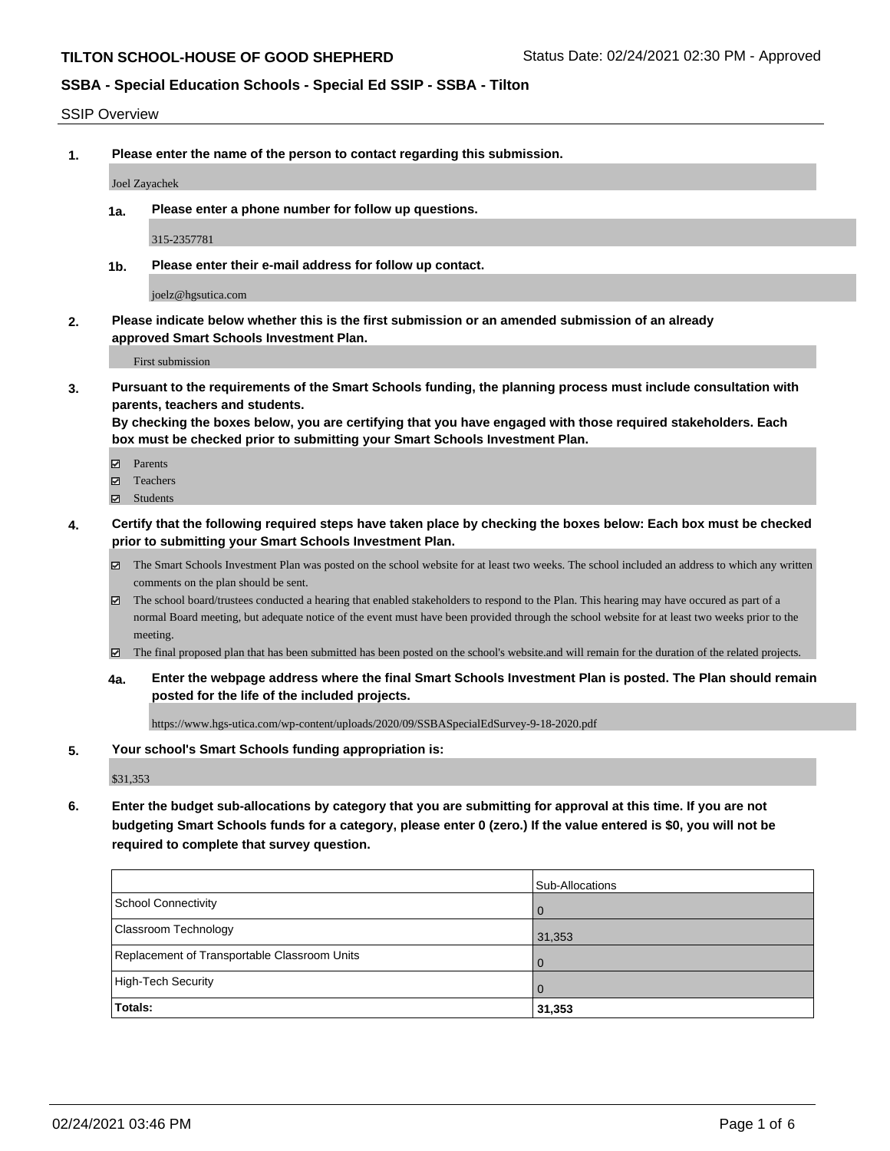### SSIP Overview

**1. Please enter the name of the person to contact regarding this submission.**

#### Joel Zayachek

**1a. Please enter a phone number for follow up questions.**

315-2357781

**1b. Please enter their e-mail address for follow up contact.**

joelz@hgsutica.com

**2. Please indicate below whether this is the first submission or an amended submission of an already approved Smart Schools Investment Plan.**

First submission

**3. Pursuant to the requirements of the Smart Schools funding, the planning process must include consultation with parents, teachers and students.**

**By checking the boxes below, you are certifying that you have engaged with those required stakeholders. Each box must be checked prior to submitting your Smart Schools Investment Plan.**

- Parents
- Teachers
- Students
- **4. Certify that the following required steps have taken place by checking the boxes below: Each box must be checked prior to submitting your Smart Schools Investment Plan.**
	- The Smart Schools Investment Plan was posted on the school website for at least two weeks. The school included an address to which any written comments on the plan should be sent.
	- The school board/trustees conducted a hearing that enabled stakeholders to respond to the Plan. This hearing may have occured as part of a normal Board meeting, but adequate notice of the event must have been provided through the school website for at least two weeks prior to the meeting.
	- The final proposed plan that has been submitted has been posted on the school's website.and will remain for the duration of the related projects.
	- **4a. Enter the webpage address where the final Smart Schools Investment Plan is posted. The Plan should remain posted for the life of the included projects.**

https://www.hgs-utica.com/wp-content/uploads/2020/09/SSBASpecialEdSurvey-9-18-2020.pdf

### **5. Your school's Smart Schools funding appropriation is:**

\$31,353

**6. Enter the budget sub-allocations by category that you are submitting for approval at this time. If you are not budgeting Smart Schools funds for a category, please enter 0 (zero.) If the value entered is \$0, you will not be required to complete that survey question.**

|                                              | Sub-Allocations |
|----------------------------------------------|-----------------|
| School Connectivity                          | . O             |
| <b>Classroom Technology</b>                  | 31,353          |
| Replacement of Transportable Classroom Units | $\overline{0}$  |
| High-Tech Security                           | $\overline{0}$  |
| Totals:                                      | 31,353          |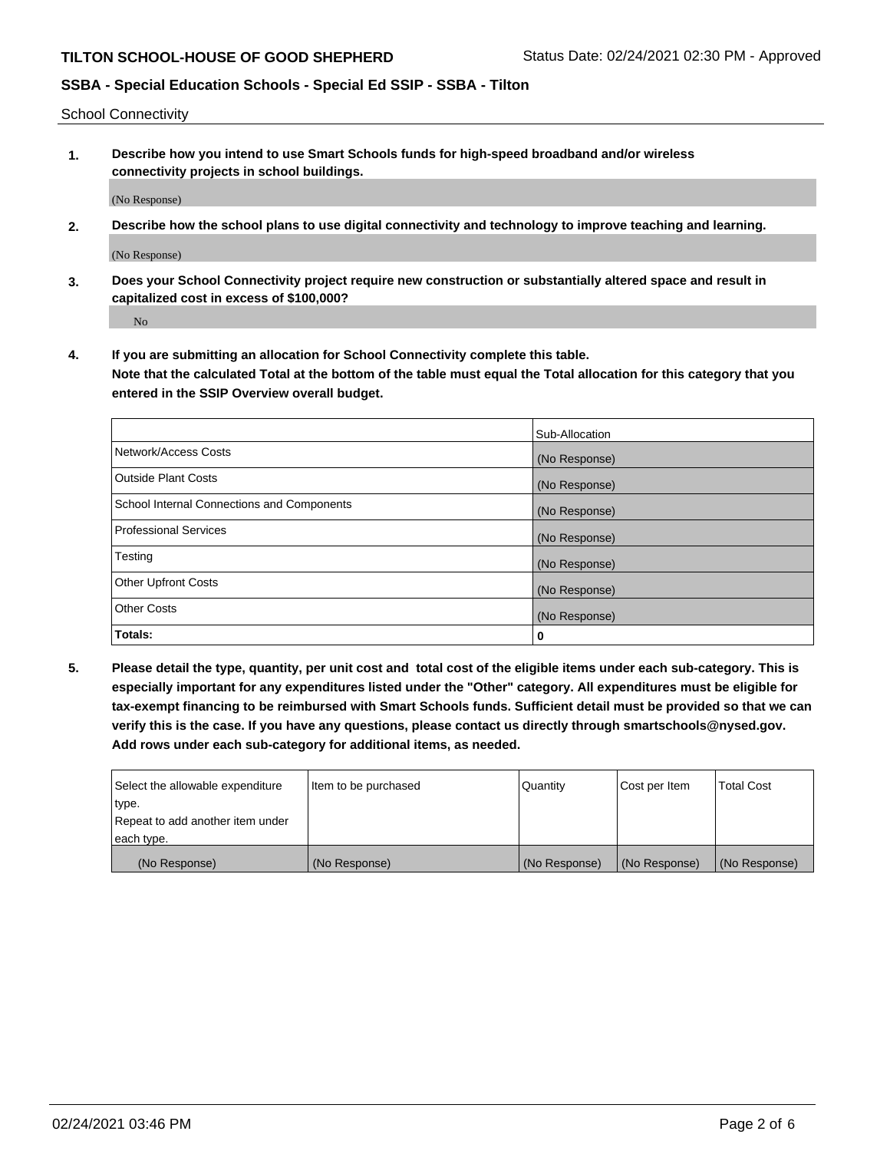School Connectivity

**1. Describe how you intend to use Smart Schools funds for high-speed broadband and/or wireless connectivity projects in school buildings.**

(No Response)

**2. Describe how the school plans to use digital connectivity and technology to improve teaching and learning.**

(No Response)

**3. Does your School Connectivity project require new construction or substantially altered space and result in capitalized cost in excess of \$100,000?**

No

**4. If you are submitting an allocation for School Connectivity complete this table. Note that the calculated Total at the bottom of the table must equal the Total allocation for this category that you entered in the SSIP Overview overall budget.** 

|                                            | Sub-Allocation |
|--------------------------------------------|----------------|
| Network/Access Costs                       | (No Response)  |
| <b>Outside Plant Costs</b>                 | (No Response)  |
| School Internal Connections and Components | (No Response)  |
| <b>Professional Services</b>               | (No Response)  |
| Testing                                    | (No Response)  |
| <b>Other Upfront Costs</b>                 | (No Response)  |
| <b>Other Costs</b>                         | (No Response)  |
| Totals:                                    | 0              |

**5. Please detail the type, quantity, per unit cost and total cost of the eligible items under each sub-category. This is especially important for any expenditures listed under the "Other" category. All expenditures must be eligible for tax-exempt financing to be reimbursed with Smart Schools funds. Sufficient detail must be provided so that we can verify this is the case. If you have any questions, please contact us directly through smartschools@nysed.gov. Add rows under each sub-category for additional items, as needed.**

| each type.<br>(No Response)      | (No Response)          | (No Response) | (No Response) | (No Response)     |
|----------------------------------|------------------------|---------------|---------------|-------------------|
|                                  |                        |               |               |                   |
| Repeat to add another item under |                        |               |               |                   |
| ∣type.                           |                        |               |               |                   |
| Select the allowable expenditure | I Item to be purchased | Quantity      | Cost per Item | <b>Total Cost</b> |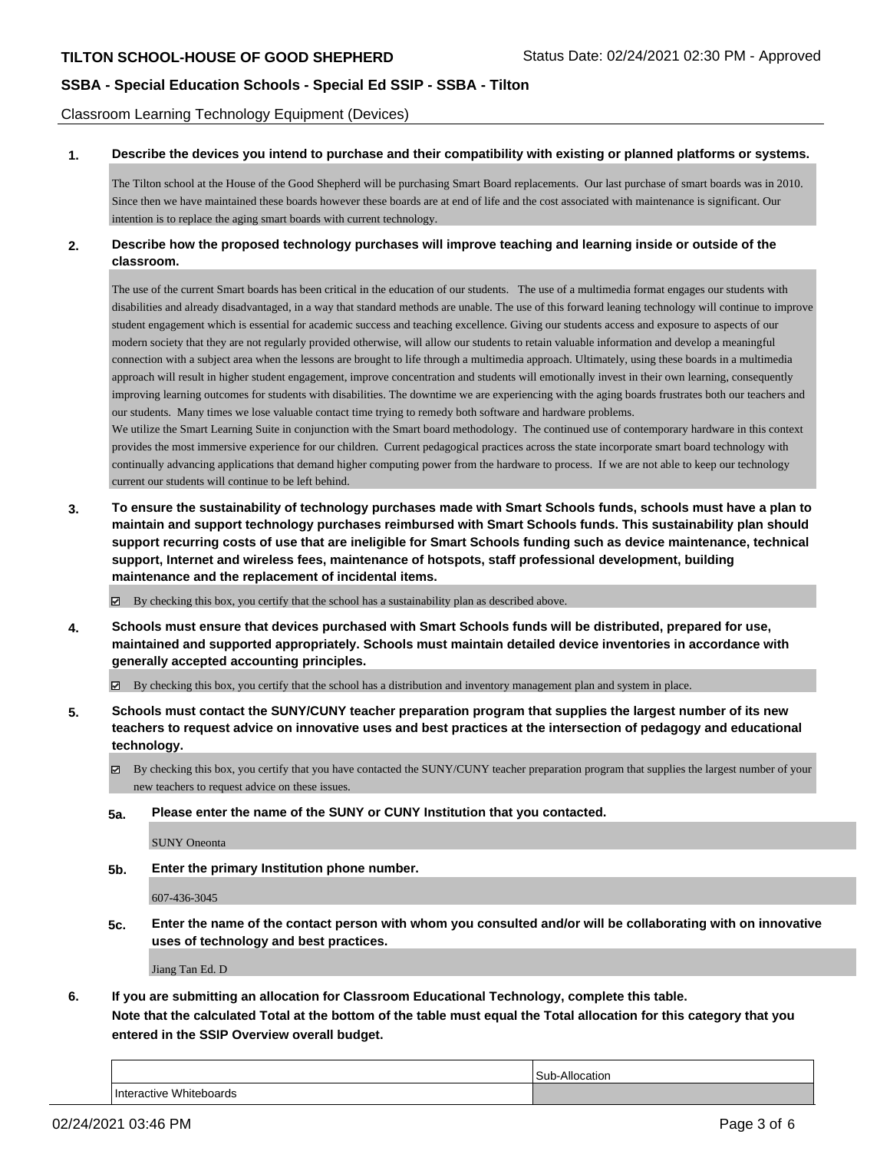Classroom Learning Technology Equipment (Devices)

### **1. Describe the devices you intend to purchase and their compatibility with existing or planned platforms or systems.**

The Tilton school at the House of the Good Shepherd will be purchasing Smart Board replacements. Our last purchase of smart boards was in 2010. Since then we have maintained these boards however these boards are at end of life and the cost associated with maintenance is significant. Our intention is to replace the aging smart boards with current technology.

### **2. Describe how the proposed technology purchases will improve teaching and learning inside or outside of the classroom.**

The use of the current Smart boards has been critical in the education of our students. The use of a multimedia format engages our students with disabilities and already disadvantaged, in a way that standard methods are unable. The use of this forward leaning technology will continue to improve student engagement which is essential for academic success and teaching excellence. Giving our students access and exposure to aspects of our modern society that they are not regularly provided otherwise, will allow our students to retain valuable information and develop a meaningful connection with a subject area when the lessons are brought to life through a multimedia approach. Ultimately, using these boards in a multimedia approach will result in higher student engagement, improve concentration and students will emotionally invest in their own learning, consequently improving learning outcomes for students with disabilities. The downtime we are experiencing with the aging boards frustrates both our teachers and our students. Many times we lose valuable contact time trying to remedy both software and hardware problems.

We utilize the Smart Learning Suite in conjunction with the Smart board methodology. The continued use of contemporary hardware in this context provides the most immersive experience for our children. Current pedagogical practices across the state incorporate smart board technology with continually advancing applications that demand higher computing power from the hardware to process. If we are not able to keep our technology current our students will continue to be left behind.

**3. To ensure the sustainability of technology purchases made with Smart Schools funds, schools must have a plan to maintain and support technology purchases reimbursed with Smart Schools funds. This sustainability plan should support recurring costs of use that are ineligible for Smart Schools funding such as device maintenance, technical support, Internet and wireless fees, maintenance of hotspots, staff professional development, building maintenance and the replacement of incidental items.**

By checking this box, you certify that the school has a sustainability plan as described above.

**4. Schools must ensure that devices purchased with Smart Schools funds will be distributed, prepared for use, maintained and supported appropriately. Schools must maintain detailed device inventories in accordance with generally accepted accounting principles.**

By checking this box, you certify that the school has a distribution and inventory management plan and system in place.

- **5. Schools must contact the SUNY/CUNY teacher preparation program that supplies the largest number of its new teachers to request advice on innovative uses and best practices at the intersection of pedagogy and educational technology.**
	- By checking this box, you certify that you have contacted the SUNY/CUNY teacher preparation program that supplies the largest number of your new teachers to request advice on these issues.
	- **5a. Please enter the name of the SUNY or CUNY Institution that you contacted.**

SUNY Oneonta

**5b. Enter the primary Institution phone number.**

607-436-3045

**5c. Enter the name of the contact person with whom you consulted and/or will be collaborating with on innovative uses of technology and best practices.**

Jiang Tan Ed. D

**6. If you are submitting an allocation for Classroom Educational Technology, complete this table.**

**Note that the calculated Total at the bottom of the table must equal the Total allocation for this category that you entered in the SSIP Overview overall budget.**

|                                   | Allocation<br>◠<br>$\overline{\phantom{a}}$<br>cation |
|-----------------------------------|-------------------------------------------------------|
| <b>Whiteboards</b><br>Interactive |                                                       |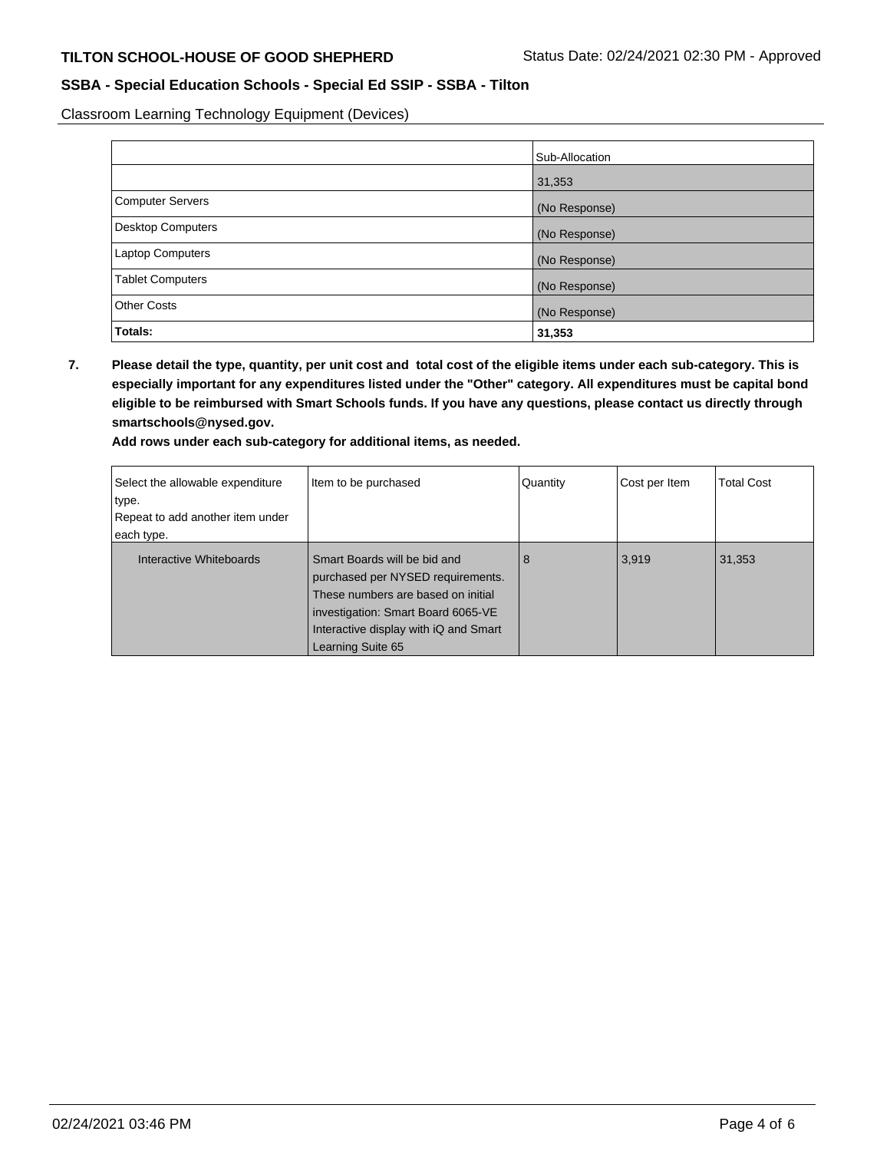Classroom Learning Technology Equipment (Devices)

|                          | Sub-Allocation |
|--------------------------|----------------|
|                          | 31,353         |
| <b>Computer Servers</b>  | (No Response)  |
| <b>Desktop Computers</b> | (No Response)  |
| Laptop Computers         | (No Response)  |
| <b>Tablet Computers</b>  | (No Response)  |
| <b>Other Costs</b>       | (No Response)  |
| Totals:                  | 31,353         |

**7. Please detail the type, quantity, per unit cost and total cost of the eligible items under each sub-category. This is especially important for any expenditures listed under the "Other" category. All expenditures must be capital bond eligible to be reimbursed with Smart Schools funds. If you have any questions, please contact us directly through smartschools@nysed.gov.**

|  | Add rows under each sub-category for additional items, as needed. |  |  |  |
|--|-------------------------------------------------------------------|--|--|--|
|--|-------------------------------------------------------------------|--|--|--|

| Select the allowable expenditure<br>type.<br>Repeat to add another item under<br>each type. | Item to be purchased                                                                                                                                                                                        | Quantity | Cost per Item | <b>Total Cost</b> |
|---------------------------------------------------------------------------------------------|-------------------------------------------------------------------------------------------------------------------------------------------------------------------------------------------------------------|----------|---------------|-------------------|
| Interactive Whiteboards                                                                     | Smart Boards will be bid and<br>purchased per NYSED requirements.<br>These numbers are based on initial<br>investigation: Smart Board 6065-VE<br>Interactive display with iQ and Smart<br>Learning Suite 65 | 8        | 3,919         | 31,353            |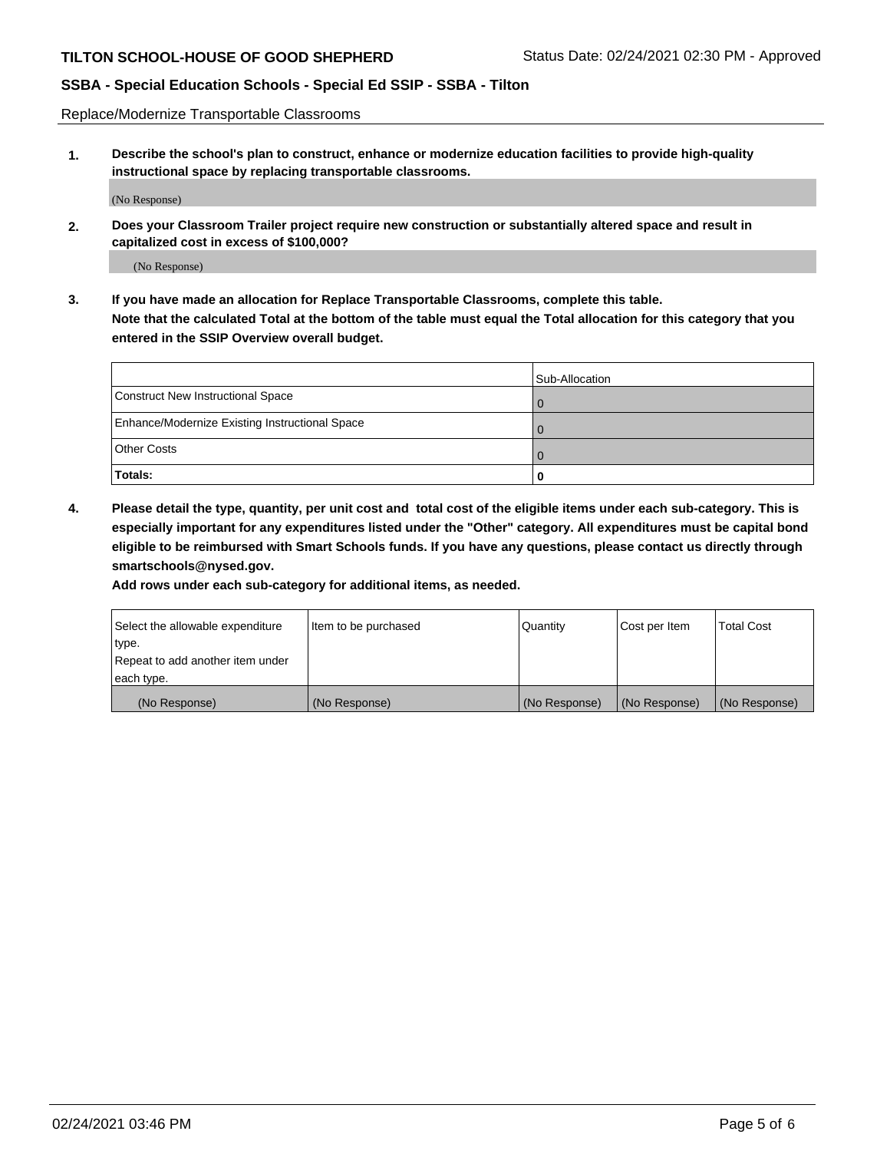Replace/Modernize Transportable Classrooms

**1. Describe the school's plan to construct, enhance or modernize education facilities to provide high-quality instructional space by replacing transportable classrooms.**

(No Response)

**2. Does your Classroom Trailer project require new construction or substantially altered space and result in capitalized cost in excess of \$100,000?**

(No Response)

**3. If you have made an allocation for Replace Transportable Classrooms, complete this table. Note that the calculated Total at the bottom of the table must equal the Total allocation for this category that you entered in the SSIP Overview overall budget.**

|                                                | Sub-Allocation |
|------------------------------------------------|----------------|
| Construct New Instructional Space              |                |
| Enhance/Modernize Existing Instructional Space |                |
| <b>Other Costs</b>                             |                |
| Totals:                                        | O              |

**4. Please detail the type, quantity, per unit cost and total cost of the eligible items under each sub-category. This is especially important for any expenditures listed under the "Other" category. All expenditures must be capital bond eligible to be reimbursed with Smart Schools funds. If you have any questions, please contact us directly through smartschools@nysed.gov.**

**Add rows under each sub-category for additional items, as needed.**

| Select the allowable expenditure | Item to be purchased | Quantity      | Cost per Item | <b>Total Cost</b> |
|----------------------------------|----------------------|---------------|---------------|-------------------|
| 'type.                           |                      |               |               |                   |
| Repeat to add another item under |                      |               |               |                   |
| each type.                       |                      |               |               |                   |
| (No Response)                    | (No Response)        | (No Response) | (No Response) | (No Response)     |